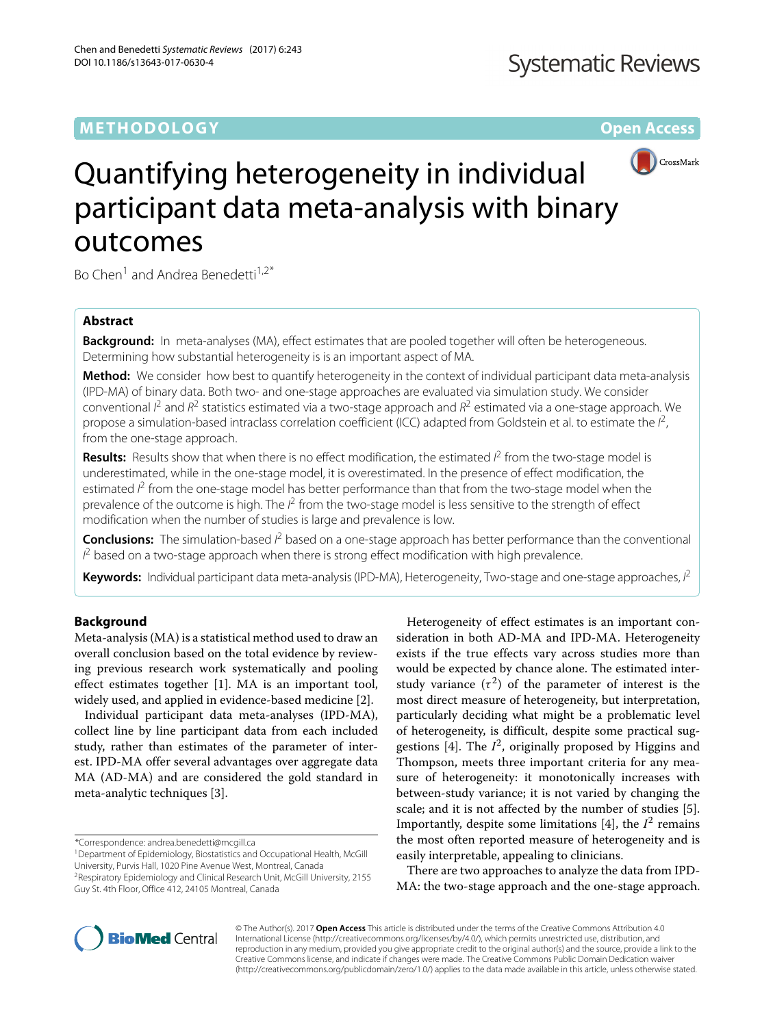# **METHODOLOGY Open Access**



# Quantifying heterogeneity in individual participant data meta-analysis with binary outcomes

Bo Chen<sup>1</sup> and Andrea Benedetti<sup>1,2\*</sup>

# **Abstract**

**Background:** In meta-analyses (MA), effect estimates that are pooled together will often be heterogeneous. Determining how substantial heterogeneity is is an important aspect of MA.

**Method:** We consider how best to quantify heterogeneity in the context of individual participant data meta-analysis (IPD-MA) of binary data. Both two- and one-stage approaches are evaluated via simulation study. We consider conventional  $l^2$  and  $R^2$  statistics estimated via a two-stage approach and  $R^2$  estimated via a one-stage approach. We propose a simulation-based intraclass correlation coefficient (ICC) adapted from Goldstein et al. to estimate the  $l^2$ , from the one-stage approach.

Results: Results show that when there is no effect modification, the estimated  $l^2$  from the two-stage model is underestimated, while in the one-stage model, it is overestimated. In the presence of effect modification, the estimated  $l^2$  from the one-stage model has better performance than that from the two-stage model when the prevalence of the outcome is high. The  $l^2$  from the two-stage model is less sensitive to the strength of effect modification when the number of studies is large and prevalence is low.

Conclusions: The simulation-based  $l^2$  based on a one-stage approach has better performance than the conventional  $l^2$  based on a two-stage approach when there is strong effect modification with high prevalence.

Keywords: Individual participant data meta-analysis (IPD-MA), Heterogeneity, Two-stage and one-stage approaches, l<sup>2</sup>

# **Background**

Meta-analysis (MA) is a statistical method used to draw an overall conclusion based on the total evidence by reviewing previous research work systematically and pooling effect estimates together [\[1\]](#page-8-0). MA is an important tool, widely used, and applied in evidence-based medicine [\[2\]](#page-8-1).

Individual participant data meta-analyses (IPD-MA), collect line by line participant data from each included study, rather than estimates of the parameter of interest. IPD-MA offer several advantages over aggregate data MA (AD-MA) and are considered the gold standard in meta-analytic techniques [\[3\]](#page-8-2).

\*Correspondence: [andrea.benedetti@mcgill.ca](mailto: andrea.benedetti@mcgill.ca)

Heterogeneity of effect estimates is an important consideration in both AD-MA and IPD-MA. Heterogeneity exists if the true effects vary across studies more than would be expected by chance alone. The estimated interstudy variance  $(\tau^2)$  of the parameter of interest is the most direct measure of heterogeneity, but interpretation, particularly deciding what might be a problematic level of heterogeneity, is difficult, despite some practical sug-gestions [\[4\]](#page-8-3). The  $I^2$ , originally proposed by Higgins and Thompson, meets three important criteria for any measure of heterogeneity: it monotonically increases with between-study variance; it is not varied by changing the scale; and it is not affected by the number of studies [\[5\]](#page-8-4). Importantly, despite some limitations  $[4]$ , the  $I<sup>2</sup>$  remains the most often reported measure of heterogeneity and is easily interpretable, appealing to clinicians.

There are two approaches to analyze the data from IPD-MA: the two-stage approach and the one-stage approach.



© The Author(s). 2017 **Open Access** This article is distributed under the terms of the Creative Commons Attribution 4.0 International License [\(http://creativecommons.org/licenses/by/4.0/\)](http://creativecommons.org/licenses/by/4.0/), which permits unrestricted use, distribution, and reproduction in any medium, provided you give appropriate credit to the original author(s) and the source, provide a link to the Creative Commons license, and indicate if changes were made. The Creative Commons Public Domain Dedication waiver [\(http://creativecommons.org/publicdomain/zero/1.0/\)](http://creativecommons.org/publicdomain/zero/1.0/) applies to the data made available in this article, unless otherwise stated.

<sup>&</sup>lt;sup>1</sup> Department of Epidemiology, Biostatistics and Occupational Health, McGill University, Purvis Hall, 1020 Pine Avenue West, Montreal, Canada 2Respiratory Epidemiology and Clinical Research Unit, McGill University, 2155

Guy St. 4th Floor, Office 412, 24105 Montreal, Canada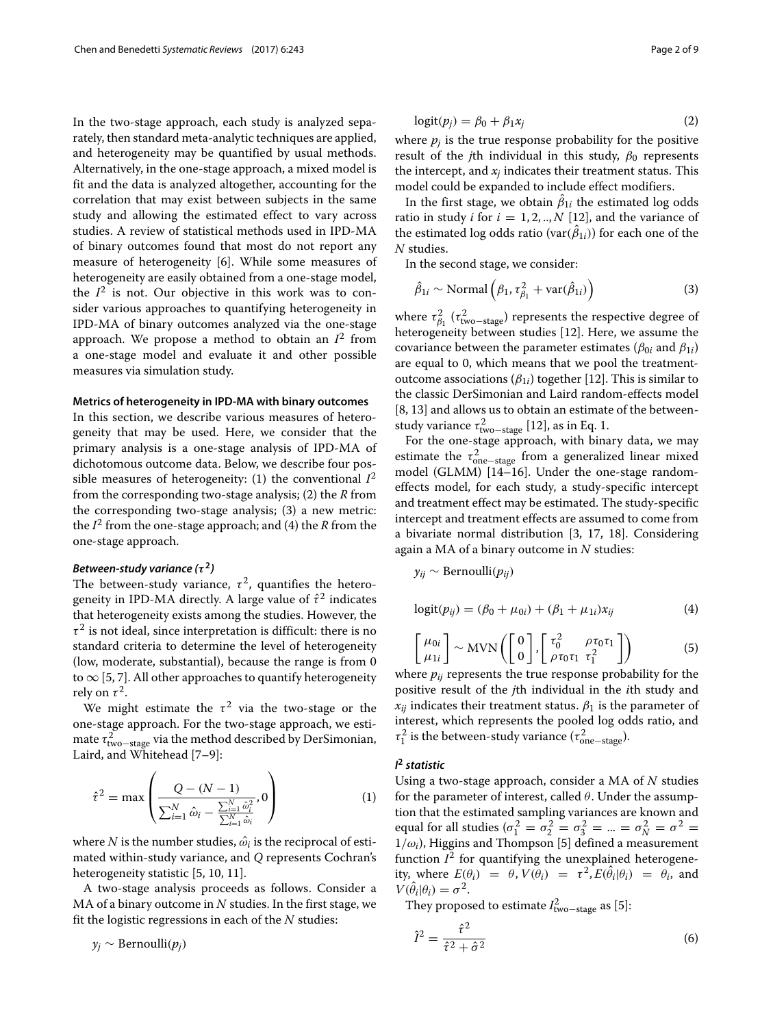In the two-stage approach, each study is analyzed separately, then standard meta-analytic techniques are applied, and heterogeneity may be quantified by usual methods. Alternatively, in the one-stage approach, a mixed model is fit and the data is analyzed altogether, accounting for the correlation that may exist between subjects in the same study and allowing the estimated effect to vary across studies. A review of statistical methods used in IPD-MA of binary outcomes found that most do not report any measure of heterogeneity [\[6\]](#page-8-5). While some measures of heterogeneity are easily obtained from a one-stage model, the  $I^2$  is not. Our objective in this work was to consider various approaches to quantifying heterogeneity in IPD-MA of binary outcomes analyzed via the one-stage approach. We propose a method to obtain an  $I^2$  from a one-stage model and evaluate it and other possible measures via simulation study.

# **Metrics of heterogeneity in IPD-MA with binary outcomes**

In this section, we describe various measures of heterogeneity that may be used. Here, we consider that the primary analysis is a one-stage analysis of IPD-MA of dichotomous outcome data. Below, we describe four possible measures of heterogeneity: (1) the conventional  $I^2$ from the corresponding two-stage analysis; (2) the *R* from the corresponding two-stage analysis; (3) a new metric: the  $I^2$  from the one-stage approach; and (4) the *R* from the one-stage approach.

# *Between-study variance (τ* **<sup>2</sup>***)*

<span id="page-1-4"></span>The between-study variance,  $\tau^2$ , quantifies the heterogeneity in IPD-MA directly. A large value of  $\hat{\tau}^2$  indicates that heterogeneity exists among the studies. However, the  $\tau^2$  is not ideal, since interpretation is difficult: there is no standard criteria to determine the level of heterogeneity (low, moderate, substantial), because the range is from 0 to  $\infty$  [\[5,](#page-8-4) [7\]](#page-8-6). All other approaches to quantify heterogeneity rely on  $\tau^2$ .

We might estimate the  $\tau^2$  via the two-stage or the one-stage approach. For the two-stage approach, we estimate  $\tau_{\text{two-stage}}^2$  via the method described by DerSimonian, Laird, and Whitehead [\[7](#page-8-6)[–9\]](#page-8-7):

<span id="page-1-0"></span>
$$
\hat{\tau}^2 = \max \left( \frac{Q - (N - 1)}{\sum_{i=1}^N \hat{\omega}_i - \frac{\sum_{i=1}^N \hat{\omega}_i^2}{\sum_{i=1}^N \hat{\omega}_i}}, 0 \right)
$$
(1)

where *N* is the number studies,  $\hat{\omega_i}$  is the reciprocal of estimated within-study variance, and *Q* represents Cochran's heterogeneity statistic [\[5,](#page-8-4) [10,](#page-8-8) [11\]](#page-8-9).

A two-stage analysis proceeds as follows. Consider a MA of a binary outcome in *N* studies. In the first stage, we fit the logistic regressions in each of the *N* studies:

$$
y_j \sim \text{Bernoulli}(p_j)
$$

$$
logit(p_j) = \beta_0 + \beta_1 x_j \tag{2}
$$

where  $p_i$  is the true response probability for the positive result of the *j*th individual in this study,  $\beta_0$  represents the intercept, and  $x_i$  indicates their treatment status. This model could be expanded to include effect modifiers.

In the first stage, we obtain  $\beta_{1i}$  the estimated log odds ratio in study *i* for  $i = 1, 2, \ldots, N$  [\[12\]](#page-8-10), and the variance of the estimated log odds ratio (var $(\beta_{1i})$ ) for each one of the *N* studies.

In the second stage, we consider:

<span id="page-1-2"></span>
$$
\hat{\beta}_{1i} \sim \text{Normal}\left(\beta_1, \tau_{\beta_1}^2 + \text{var}(\hat{\beta}_{1i})\right) \tag{3}
$$

where  $\tau_{\beta_1}^2$  ( $\tau_{\text{two-stage}}^2$ ) represents the respective degree of heterogeneity between studies [\[12\]](#page-8-10). Here, we assume the covariance between the parameter estimates ( $\beta_{0i}$  and  $\beta_{1i}$ ) are equal to 0, which means that we pool the treatmentoutcome associations  $(\beta_{1i})$  together [\[12\]](#page-8-10). This is similar to the classic DerSimonian and Laird random-effects model [\[8,](#page-8-11) [13\]](#page-8-12) and allows us to obtain an estimate of the betweenstudy variance  $\tau_{\text{two-stage}}^2$  [\[12\]](#page-8-10), as in Eq. [1.](#page-1-0)

For the one-stage approach, with binary data, we may estimate the  $\tau_{one-stage}^2$  from a generalized linear mixed model (GLMM) [\[14–](#page-8-13)[16\]](#page-8-14). Under the one-stage randomeffects model, for each study, a study-specific intercept and treatment effect may be estimated. The study-specific intercept and treatment effects are assumed to come from a bivariate normal distribution [\[3,](#page-8-2) [17,](#page-8-15) [18\]](#page-8-16). Considering again a MA of a binary outcome in *N* studies:

$$
y_{ij} \sim \text{Bernoulli}(p_{ij})
$$

<span id="page-1-3"></span>
$$
logit(p_{ij}) = (\beta_0 + \mu_{0i}) + (\beta_1 + \mu_{1i})x_{ij}
$$
 (4)

<span id="page-1-1"></span>
$$
\begin{bmatrix} \mu_{0i} \\ \mu_{1i} \end{bmatrix} \sim \text{MVN}\left( \begin{bmatrix} 0 \\ 0 \end{bmatrix}, \begin{bmatrix} \tau_0^2 & \rho \tau_0 \tau_1 \\ \rho \tau_0 \tau_1 & \tau_1^2 \end{bmatrix} \right) \tag{5}
$$

where  $p_{ij}$  represents the true response probability for the positive result of the *j*th individual in the *i*th study and  $x_{ij}$  indicates their treatment status.  $\beta_1$  is the parameter of interest, which represents the pooled log odds ratio, and  $\tau_1^2$  is the between-study variance ( $\tau_{\rm one-stage}^2$ ).

# <span id="page-1-5"></span>*I* **<sup>2</sup>** *statistic*

Using a two-stage approach, consider a MA of *N* studies for the parameter of interest, called  $\theta$ . Under the assumption that the estimated sampling variances are known and equal for all studies ( $\sigma_1^2 = \sigma_2^2 = \sigma_3^2 = ... = \sigma_N^2 = \sigma^2 = 0$  $1/\omega_i$ ), Higgins and Thompson [\[5\]](#page-8-4) defined a measurement function  $I^2$  for quantifying the unexplained heterogeneity, where  $E(\theta_i) = \theta$ ,  $V(\theta_i) = \tau^2$ ,  $E(\hat{\theta}_i|\theta_i) = \theta_i$ , and  $V(\hat{\theta}_i|\theta_i) = \sigma^2$ .

They proposed to estimate  $I_{\text{two-stage}}^2$  as [\[5\]](#page-8-4):

$$
\hat{I}^2 = \frac{\hat{\tau}^2}{\hat{\tau}^2 + \hat{\sigma}^2} \tag{6}
$$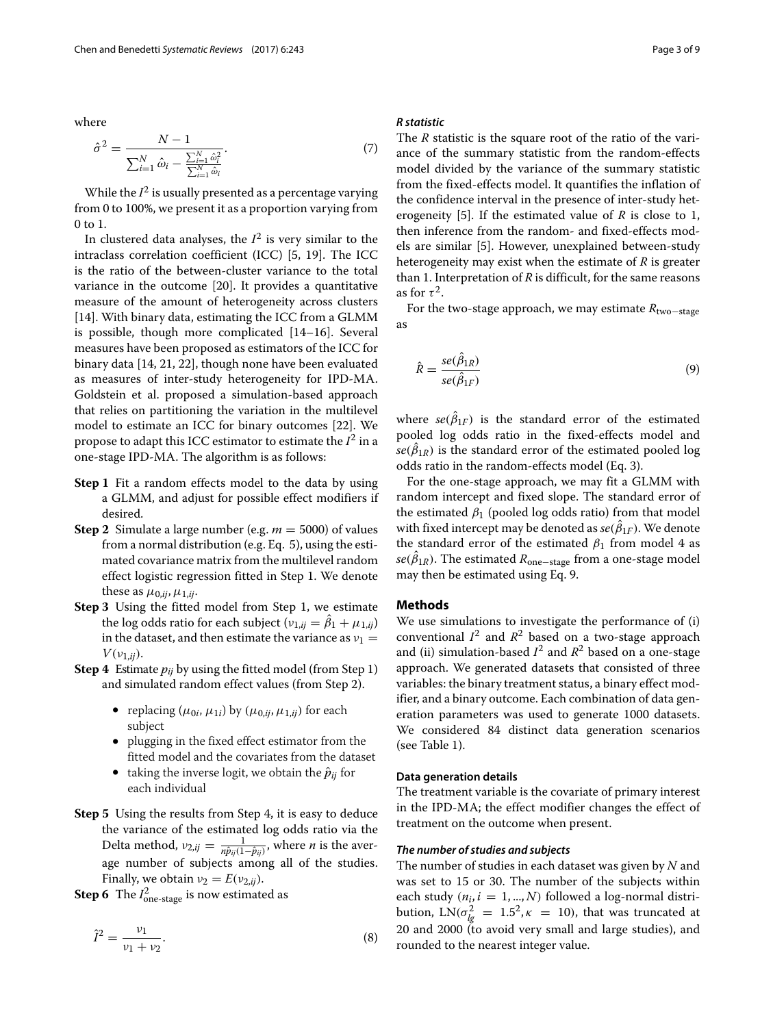where

$$
\hat{\sigma}^2 = \frac{N - 1}{\sum_{i=1}^{N} \hat{\omega}_i - \frac{\sum_{i=1}^{N} \hat{\omega}_i^2}{\sum_{i=1}^{N} \hat{\omega}_i}}.
$$
\n(7)

While the  $I^2$  is usually presented as a percentage varying from 0 to 100%, we present it as a proportion varying from 0 to 1.

In clustered data analyses, the  $I^2$  is very similar to the intraclass correlation coefficient (ICC) [\[5,](#page-8-4) [19\]](#page-8-17). The ICC is the ratio of the between-cluster variance to the total variance in the outcome [\[20\]](#page-8-18). It provides a quantitative measure of the amount of heterogeneity across clusters [\[14\]](#page-8-13). With binary data, estimating the ICC from a GLMM is possible, though more complicated [\[14–](#page-8-13)[16\]](#page-8-14). Several measures have been proposed as estimators of the ICC for binary data [\[14,](#page-8-13) [21,](#page-8-19) [22\]](#page-8-20), though none have been evaluated as measures of inter-study heterogeneity for IPD-MA. Goldstein et al. proposed a simulation-based approach that relies on partitioning the variation in the multilevel model to estimate an ICC for binary outcomes [\[22\]](#page-8-20). We propose to adapt this ICC estimator to estimate the  $I^2$  in a one-stage IPD-MA. The algorithm is as follows:

- **Step 1** Fit a random effects model to the data by using a GLMM, and adjust for possible effect modifiers if desired.
- **Step 2** Simulate a large number (e.g. *m* = 5000) of values from a normal distribution (e.g. Eq. [5\)](#page-1-1), using the estimated covariance matrix from the multilevel random effect logistic regression fitted in Step 1. We denote these as  $\mu_{0,ij}$ ,  $\mu_{1,ij}$ .
- **Step 3** Using the fitted model from Step 1, we estimate the log odds ratio for each subject  $(v_{1,ij} = \beta_1 + \mu_{1,ij})$ in the dataset, and then estimate the variance as  $v_1 =$  $V(\nu_{1,ij})$ .
- **Step 4** Estimate *pij* by using the fitted model (from Step 1) and simulated random effect values (from Step 2).
	- replacing ( $\mu_{0i}$ ,  $\mu_{1i}$ ) by ( $\mu_{0,ij}$ ,  $\mu_{1,ij}$ ) for each subject
	- plugging in the fixed effect estimator from the fitted model and the covariates from the dataset
	- taking the inverse logit, we obtain the  $\hat{p}_{ii}$  for each individual
- **Step 5** Using the results from Step 4, it is easy to deduce the variance of the estimated log odds ratio via the Delta method,  $v_{2,ij} = \frac{1}{n\hat{p}_{ij}(1-\hat{p}_{ij})}$ , where *n* is the average number of subjects among all of the studies. Finally, we obtain  $v_2 = E(v_{2,ii})$ .
- **Step 6** The  $I_{one-stage}^2$  is now estimated as

$$
\hat{I}^2 = \frac{\nu_1}{\nu_1 + \nu_2}.\tag{8}
$$

#### <span id="page-2-1"></span>*R statistic*

The *R* statistic is the square root of the ratio of the variance of the summary statistic from the random-effects model divided by the variance of the summary statistic from the fixed-effects model. It quantifies the inflation of the confidence interval in the presence of inter-study heterogeneity [\[5\]](#page-8-4). If the estimated value of *R* is close to 1, then inference from the random- and fixed-effects models are similar [\[5\]](#page-8-4). However, unexplained between-study heterogeneity may exist when the estimate of *R* is greater than 1. Interpretation of *R* is difficult, for the same reasons as for  $\tau^2$ .

<span id="page-2-0"></span>For the two-stage approach, we may estimate *R*two−stage as

$$
\hat{R} = \frac{se(\hat{\beta}_{1R})}{se(\hat{\beta}_{1F})}
$$
\n(9)

where  $se(\beta_{1F})$  is the standard error of the estimated pooled log odds ratio in the fixed-effects model and  $se(\beta_{1R})$  is the standard error of the estimated pooled log odds ratio in the random-effects model (Eq. [3\)](#page-1-2).

For the one-stage approach, we may fit a GLMM with random intercept and fixed slope. The standard error of the estimated  $\beta_1$  (pooled log odds ratio) from that model with fixed intercept may be denoted as  $se(\beta_{1F}).$  We denote the standard error of the estimated  $\beta_1$  from model [4](#page-1-3) as  $\mathit{se}(\beta_{1R})$ . The estimated  $R_{\text{one-stage}}$  from a one-stage model may then be estimated using Eq. [9.](#page-2-0)

#### **Methods**

We use simulations to investigate the performance of (i) conventional  $I^2$  and  $R^2$  based on a two-stage approach and (ii) simulation-based  $I^2$  and  $R^2$  based on a one-stage approach. We generated datasets that consisted of three variables: the binary treatment status, a binary effect modifier, and a binary outcome. Each combination of data generation parameters was used to generate 1000 datasets. We considered 84 distinct data generation scenarios (see Table [1\)](#page-3-0).

#### **Data generation details**

The treatment variable is the covariate of primary interest in the IPD-MA; the effect modifier changes the effect of treatment on the outcome when present.

# *The number of studies and subjects*

The number of studies in each dataset was given by *N* and was set to 15 or 30. The number of the subjects within each study ( $n_i$ ,  $i = 1, ..., N$ ) followed a log-normal distribution,  $LN(\sigma_{lg}^2 = 1.5^2, \kappa = 10)$ , that was truncated at 20 and 2000 (to avoid very small and large studies), and rounded to the nearest integer value.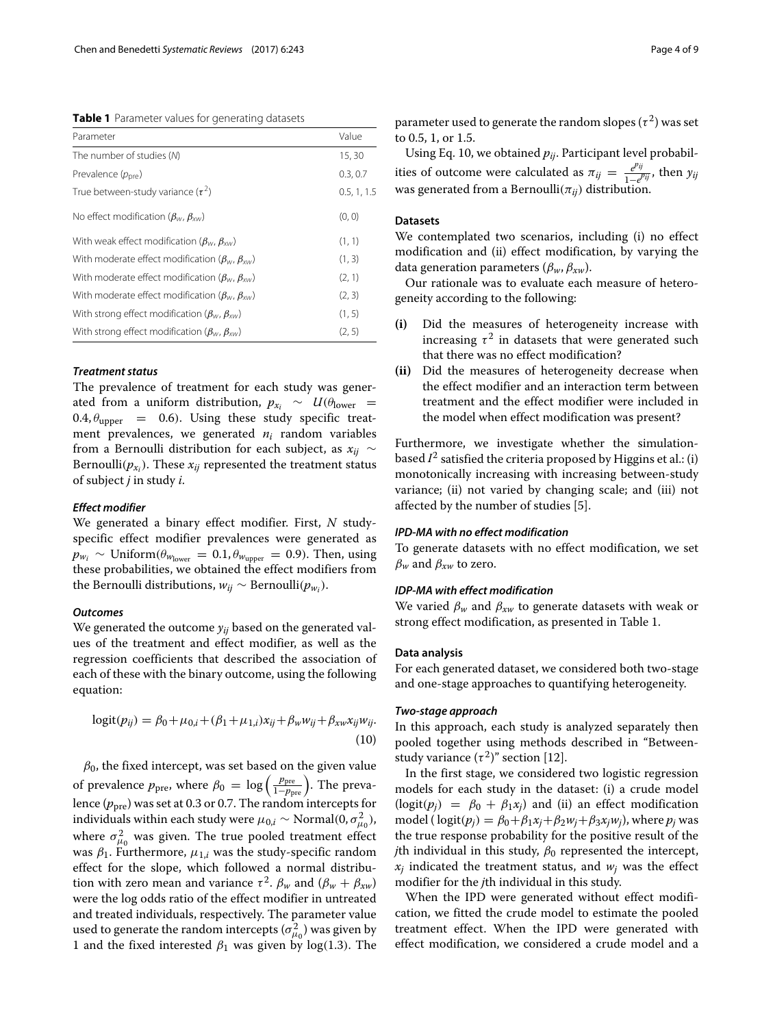<span id="page-3-0"></span>**Table 1** Parameter values for generating datasets

| Parameter                                                                                                | Value       |
|----------------------------------------------------------------------------------------------------------|-------------|
| The number of studies (N)                                                                                | 15,30       |
| Prevalence $(p_{pre})$                                                                                   | 0.3, 0.7    |
| True between-study variance $(\tau^2)$                                                                   | 0.5, 1, 1.5 |
| No effect modification ( $\beta_{\scriptscriptstyle W}, \beta_{\scriptscriptstyle \mathcal{X}}$ )        | (0, 0)      |
| With weak effect modification ( $\beta_{\scriptscriptstyle W}, \beta_{\scriptscriptstyle \rm SW}$ )      | (1, 1)      |
| With moderate effect modification ( $\beta_{\scriptscriptstyle W}, \beta_{\scriptscriptstyle \rm YM}$ )  | (1, 3)      |
| With moderate effect modification ( $\beta_{\scriptscriptstyle W}, \beta_{\scriptscriptstyle \rm YM}$ )  | (2, 1)      |
| With moderate effect modification ( $\beta_{\scriptscriptstyle W}, \beta_{\scriptscriptstyle \rm YM}$ )  | (2, 3)      |
| With strong effect modification ( $\beta_{\scriptscriptstyle W}, \beta_{\scriptscriptstyle \text{XW}}$ ) | (1, 5)      |
| With strong effect modification ( $\beta_{\scriptscriptstyle W}, \beta_{\scriptscriptstyle X\!W}$ )      | (2, 5)      |

# *Treatment status*

The prevalence of treatment for each study was generated from a uniform distribution,  $p_{x_i} \sim U(\theta_{\text{lower}} =$ 0.4,  $\theta_{\text{upper}}$  = 0.6). Using these study specific treatment prevalences, we generated *ni* random variables from a Bernoulli distribution for each subject, as *xij* ∼ Bernoulli( $p_{x_i}$ ). These  $x_{ij}$  represented the treatment status of subject *j* in study *i*.

#### *Effect modifier*

We generated a binary effect modifier. First, *N* studyspecific effect modifier prevalences were generated as  $p_{w_i}$  ∼ Uniform( $\theta_{w_{lower}} = 0.1, \theta_{w_{upper}} = 0.9$ ). Then, using these probabilities, we obtained the effect modifiers from the Bernoulli distributions,  $w_{ii}$  ∼ Bernoulli( $p_{w_i}$ ).

#### *Outcomes*

We generated the outcome *yij* based on the generated values of the treatment and effect modifier, as well as the regression coefficients that described the association of each of these with the binary outcome, using the following equation:

<span id="page-3-1"></span>
$$
logit(p_{ij}) = \beta_0 + \mu_{0,i} + (\beta_1 + \mu_{1,i})x_{ij} + \beta_w w_{ij} + \beta_{xw} x_{ij} w_{ij}.
$$
\n(10)

 $\beta_0$ , the fixed intercept, was set based on the given value of prevalence  $p_{\text{pre}}$ , where  $\beta_0 = \log \left( \frac{p_{\text{pre}}}{1-p_{\text{pre}}} \right)$ . The prevalence  $(p_{\text{pre}})$  was set at 0.3 or 0.7. The random intercepts for individuals within each study were  $\mu_{0,i} \sim \textrm{Normal}(0,\sigma_{\mu_0}^2),$ where  $\sigma_{\mu_0}^2$  was given. The true pooled treatment effect was  $\beta_1$ . Furthermore,  $\mu_{1,i}$  was the study-specific random effect for the slope, which followed a normal distribution with zero mean and variance  $\tau^2$ .  $\beta_w$  and  $(\beta_w + \beta_{xw})$ were the log odds ratio of the effect modifier in untreated and treated individuals, respectively. The parameter value used to generate the random intercepts  $(\sigma_{\mu_0}^2)$  was given by 1 and the fixed interested  $\beta_1$  was given by log(1.3). The

parameter used to generate the random slopes ( $\tau^2$ ) was set to 0.5, 1, or 1.5.

Using Eq. [10,](#page-3-1) we obtained  $p_{ij}$ . Participant level probabilities of outcome were calculated as  $\pi_{ij} = \frac{e^{p_{ij}}}{1-e^{j}}$  $\frac{e^{i\theta}}{1-e^{i\theta}}$ , then  $y_{ij}$ was generated from a Bernoulli( $\pi_{ii}$ ) distribution.

# **Datasets**

We contemplated two scenarios, including (i) no effect modification and (ii) effect modification, by varying the data generation parameters (β*w*, β*xw*).

Our rationale was to evaluate each measure of heterogeneity according to the following:

- **(i)** Did the measures of heterogeneity increase with increasing  $\tau^2$  in datasets that were generated such that there was no effect modification?
- **(ii)** Did the measures of heterogeneity decrease when the effect modifier and an interaction term between treatment and the effect modifier were included in the model when effect modification was present?

Furthermore, we investigate whether the simulationbased  $I^2$  satisfied the criteria proposed by Higgins et al.: (i) monotonically increasing with increasing between-study variance; (ii) not varied by changing scale; and (iii) not affected by the number of studies [\[5\]](#page-8-4).

# *IPD-MA with no effect modification*

To generate datasets with no effect modification, we set  $\beta_w$  and  $\beta_{xw}$  to zero.

# *IDP-MA with effect modification*

We varied  $\beta_w$  and  $\beta_{xw}$  to generate datasets with weak or strong effect modification, as presented in Table [1.](#page-3-0)

#### **Data analysis**

For each generated dataset, we considered both two-stage and one-stage approaches to quantifying heterogeneity.

# *Two-stage approach*

In this approach, each study is analyzed separately then pooled together using methods described in ["Between](#page-1-4)study variance  $(\tau^2)$ " section [\[12\]](#page-8-10).

In the first stage, we considered two logistic regression models for each study in the dataset: (i) a crude model  $(logit(p_i) = \beta_0 + \beta_1 x_i)$  and (ii) an effect modification model ( $logit(p_i) = \beta_0 + \beta_1 x_i + \beta_2 w_i + \beta_3 x_i w_i$ ), where  $p_i$  was the true response probability for the positive result of the *j*th individual in this study,  $\beta_0$  represented the intercept,  $x_i$  indicated the treatment status, and  $w_i$  was the effect modifier for the *j*th individual in this study.

When the IPD were generated without effect modification, we fitted the crude model to estimate the pooled treatment effect. When the IPD were generated with effect modification, we considered a crude model and a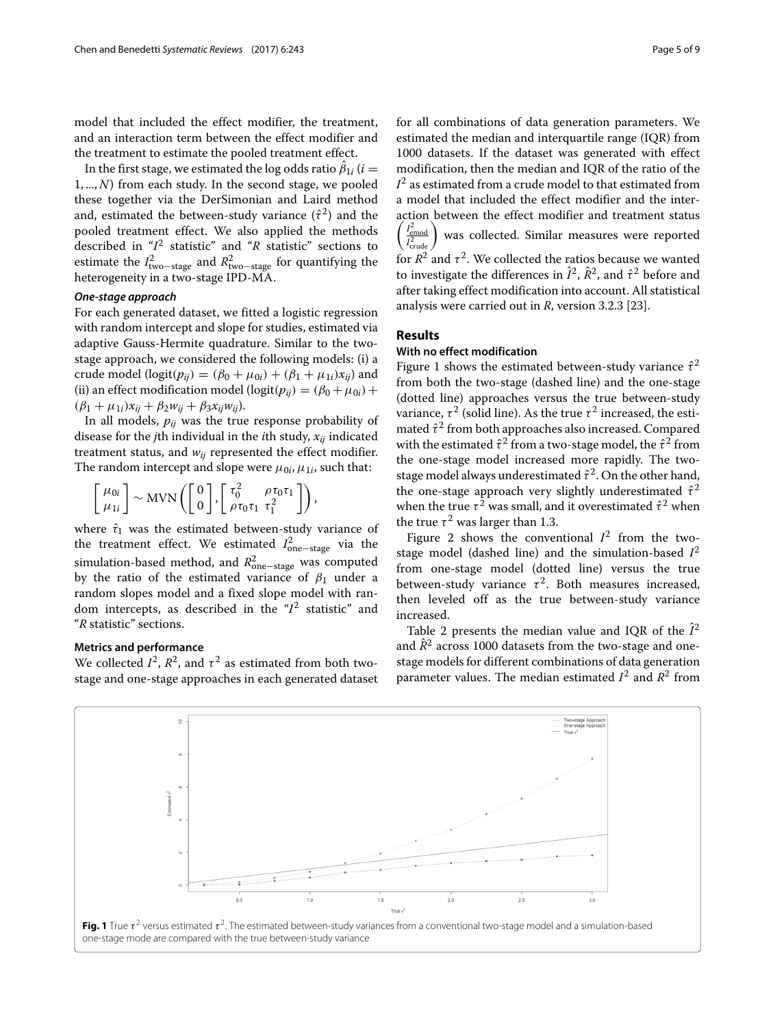model that included the effect modifier, the treatment, and an interaction term between the effect modifier and the treatment to estimate the pooled treatment effect.

In the first stage, we estimated the log odds ratio  $\beta_{1i}$   $(i=$  $1, ..., N$ ) from each study. In the second stage, we pooled these together via the DerSimonian and Laird method and, estimated the between-study variance  $(\hat{\tau}^2)$  and the pooled treatment effect. We also applied the methods described in "*I*<sup>2</sup> [statistic"](#page-1-5) and "*R* [statistic"](#page-2-1) sections to estimate the  $I_{\text{two-stage}}^2$  and  $R_{\text{two-stage}}^2$  for quantifying the heterogeneity in a two-stage IPD-MA.

# *One-stage approach*

For each generated dataset, we fitted a logistic regression with random intercept and slope for studies, estimated via adaptive Gauss-Hermite quadrature. Similar to the twostage approach, we considered the following models: (i) a crude model ( $logit(p_{ij}) = (\beta_0 + \mu_{0i}) + (\beta_1 + \mu_{1i})x_{ij}$ ) and (ii) an effect modification model ( $logit(p_{ij}) = (\beta_0 + \mu_{0i}) +$  $(\beta_1 + \mu_{1i})x_{ii} + \beta_2 w_{ii} + \beta_3 x_{ii}w_{ii}$ .

In all models, *pij* was the true response probability of disease for the *j*th individual in the *i*th study, *xij* indicated treatment status, and  $w_{ij}$  represented the effect modifier. The random intercept and slope were  $\mu_{0i}$ ,  $\mu_{1i}$ , such that:

$$
\begin{bmatrix} \mu_{0i} \\ \mu_{1i} \end{bmatrix} \sim \text{MVN}\left(\begin{bmatrix} 0 \\ 0 \end{bmatrix}, \begin{bmatrix} \tau_0^2 & \rho \tau_0 \tau_1 \\ \rho \tau_0 \tau_1 & \tau_1^2 \end{bmatrix}\right),
$$

where  $\hat{\tau}_1$  was the estimated between-study variance of the treatment effect. We estimated  $I_{one-stage}^2$  via the simulation-based method, and *R*<sup>2</sup><sub>one−stage</sub> was computed by the ratio of the estimated variance of  $\beta_1$  under a random slopes model and a fixed slope model with random intercepts, as described in the "*I*<sup>2</sup> [statistic"](#page-1-5) and "*R* [statistic"](#page-2-1) sections.

# **Metrics and performance**

We collected  $I^2$ ,  $R^2$ , and  $\tau^2$  as estimated from both twostage and one-stage approaches in each generated dataset for all combinations of data generation parameters. We estimated the median and interquartile range (IQR) from 1000 datasets. If the dataset was generated with effect modification, then the median and IQR of the ratio of the  $I<sup>2</sup>$  as estimated from a crude model to that estimated from a model that included the effect modifier and the interaction between the effect modifier and treatment status  $\int$ <sup>2</sup><sub> $\alpha$ </sub> emod  $I_c^2$  $\begin{pmatrix} 2 \\ \frac{\text{emod}}{2} \\ \text{crude} \end{pmatrix}$ was collected. Similar measures were reported for  $R^2$  and  $\tau^2$ . We collected the ratios because we wanted to investigate the differences in  $\hat{I}^2$ ,  $\hat{R}^2$ , and  $\hat{\tau}^2$  before and after taking effect modification into account. All statistical analysis were carried out in *R*, version 3.2.3 [\[23\]](#page-8-21).

# **Results**

# **With no effect modification**

Figure [1](#page-4-0) shows the estimated between-study variance  $\hat{\tau}^2$ from both the two-stage (dashed line) and the one-stage (dotted line) approaches versus the true between-study variance,  $\tau^2$  (solid line). As the true  $\tau^2$  increased, the estimated  $\hat{\tau}^2$  from both approaches also increased. Compared with the estimated  $\hat{\tau}^2$  from a two-stage model, the  $\hat{\tau}^2$  from the one-stage model increased more rapidly. The twostage model always underestimated  $\hat{\tau}^2$ . On the other hand, the one-stage approach very slightly underestimated  $\hat{\tau}^2$ when the true  $\tau^2$  was small, and it overestimated  $\hat{\tau}^2$  when the true  $\tau^2$  was larger than 1.3.

Figure [2](#page-5-0) shows the conventional  $I^2$  from the twostage model (dashed line) and the simulation-based  $I^2$ from one-stage model (dotted line) versus the true between-study variance  $\tau^2$ . Both measures increased, then leveled off as the true between-study variance increased.

Table [2](#page-5-1) presents the median value and IQR of the  $\hat{I}^2$ and  $\hat{R}^2$  across 1000 datasets from the two-stage and onestage models for different combinations of data generation parameter values. The median estimated  $I^2$  and  $R^2$  from

<span id="page-4-0"></span>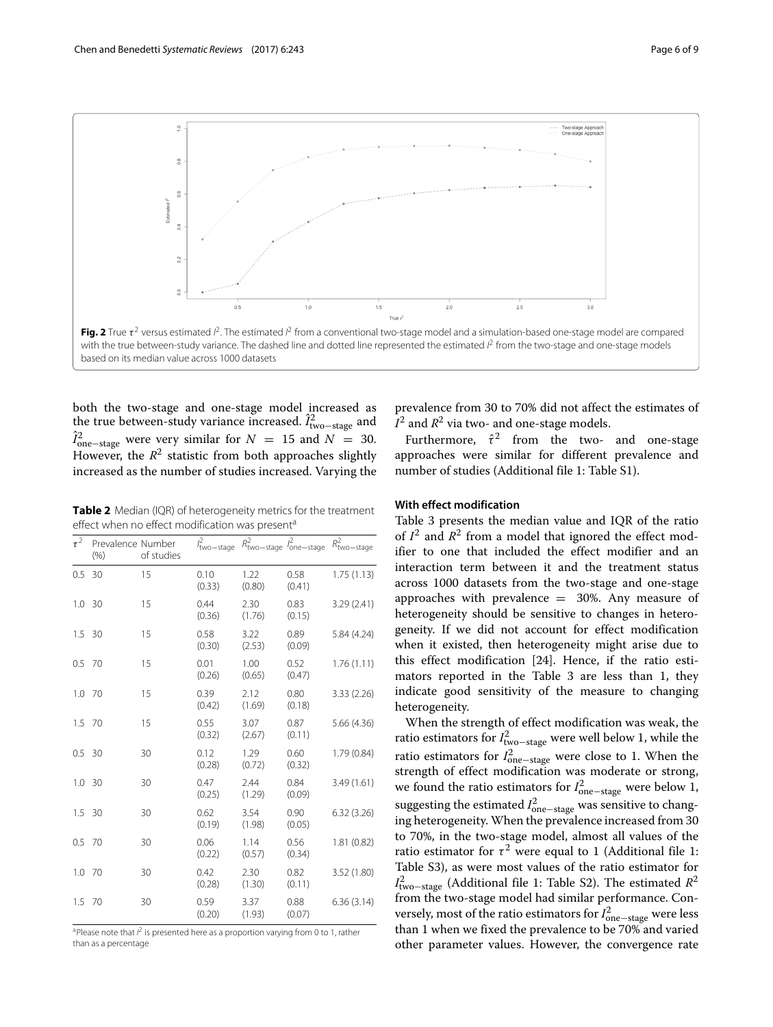

<span id="page-5-0"></span>both the two-stage and one-stage model increased as the true between-study variance increased.  $\hat{I}^2_{\text{two-stage}}$  and  $\hat{I}_{one-stage}^2$  were very similar for  $N = 15$  and  $N = 30$ . However, the  $R^2$  statistic from both approaches slightly increased as the number of studies increased. Varying the

<span id="page-5-1"></span>**Table 2** Median (IQR) of heterogeneity metrics for the treatment effect when no effect modification was present<sup>a</sup>

| $\tau^2$ | Prevalence Number<br>(% ) | of studies | $l_{\text{two-stage}}^2$ | $R_{\text{two-stage}}^2$ $I_{\text{one-stage}}^2$ |                | $R_{\text{two-stage}}^2$ |
|----------|---------------------------|------------|--------------------------|---------------------------------------------------|----------------|--------------------------|
| 0.5      | 30                        | 15         | 0.10<br>(0.33)           | 1.22<br>(0.80)                                    | 0.58<br>(0.41) | 1.75(1.13)               |
| 1.0      | 30                        | 15         | 0.44<br>(0.36)           | 2.30<br>(1.76)                                    | 0.83<br>(0.15) | 3.29 (2.41)              |
| 1.5      | 30                        | 15         | 0.58<br>(0.30)           | 3.22<br>(2.53)                                    | 0.89<br>(0.09) | 5.84 (4.24)              |
| 0.5      | - 70                      | 15         | 0.01<br>(0.26)           | 1.00<br>(0.65)                                    | 0.52<br>(0.47) | 1.76(1.11)               |
| 1.0      | 70                        | 15         | 0.39<br>(0.42)           | 2.12<br>(1.69)                                    | 0.80<br>(0.18) | 3.33(2.26)               |
| 1.5      | 70                        | 15         | 0.55<br>(0.32)           | 3.07<br>(2.67)                                    | 0.87<br>(0.11) | 5.66 (4.36)              |
| 0.5      | -30                       | 30         | 0.12<br>(0.28)           | 1.29<br>(0.72)                                    | 0.60<br>(0.32) | 1.79(0.84)               |
| 1.0      | 30                        | 30         | 0.47<br>(0.25)           | 2.44<br>(1.29)                                    | 0.84<br>(0.09) | 3.49(1.61)               |
| 1.5      | 30                        | 30         | 0.62<br>(0.19)           | 3.54<br>(1.98)                                    | 0.90<br>(0.05) | 6.32(3.26)               |
| 0.5      | - 70                      | 30         | 0.06<br>(0.22)           | 1.14<br>(0.57)                                    | 0.56<br>(0.34) | 1.81(0.82)               |
| 1.0      | 70                        | 30         | 0.42<br>(0.28)           | 2.30<br>(1.30)                                    | 0.82<br>(0.11) | 3.52 (1.80)              |
| 1.5      | 70                        | 30         | 0.59<br>(0.20)           | 3.37<br>(1.93)                                    | 0.88<br>(0.07) | 6.36(3.14)               |

<sup>a</sup>Please note that  $l^2$  is presented here as a proportion varying from 0 to 1, rather than as a percentage

prevalence from 30 to 70% did not affect the estimates of  $I^2$  and  $R^2$  via two- and one-stage models.

Furthermore,  $\hat{\tau}^2$  from the two- and one-stage approaches were similar for different prevalence and number of studies (Additional file [1:](#page-7-0) Table S1).

# **With effect modification**

Table [3](#page-6-0) presents the median value and IQR of the ratio of  $I^2$  and  $R^2$  from a model that ignored the effect modifier to one that included the effect modifier and an interaction term between it and the treatment status across 1000 datasets from the two-stage and one-stage approaches with prevalence  $=$  30%. Any measure of heterogeneity should be sensitive to changes in heterogeneity. If we did not account for effect modification when it existed, then heterogeneity might arise due to this effect modification [\[24\]](#page-8-22). Hence, if the ratio estimators reported in the Table [3](#page-6-0) are less than 1, they indicate good sensitivity of the measure to changing heterogeneity.

When the strength of effect modification was weak, the ratio estimators for  $I^2_{\text{two-stage}}$  were well below 1, while the ratio estimators for  $I_{one-stage}^2$  were close to 1. When the strength of effect modification was moderate or strong, we found the ratio estimators for  $I_{one-stage}^2$  were below 1, suggesting the estimated  $I_{one-stage}^2$  was sensitive to changing heterogeneity. When the prevalence increased from 30 to 70%, in the two-stage model, almost all values of the ratio estimator for  $\tau^2$  were equal to 1 (Additional file [1:](#page-7-0) Table S3), as were most values of the ratio estimator for *I*<sup>2</sup><sub>two−stage</sub> (Additional file [1:](#page-7-0) Table S2). The estimated *R*<sup>2</sup> from the two-stage model had similar performance. Conversely, most of the ratio estimators for  $I_{one-stage}^2$  were less than 1 when we fixed the prevalence to be 70% and varied other parameter values. However, the convergence rate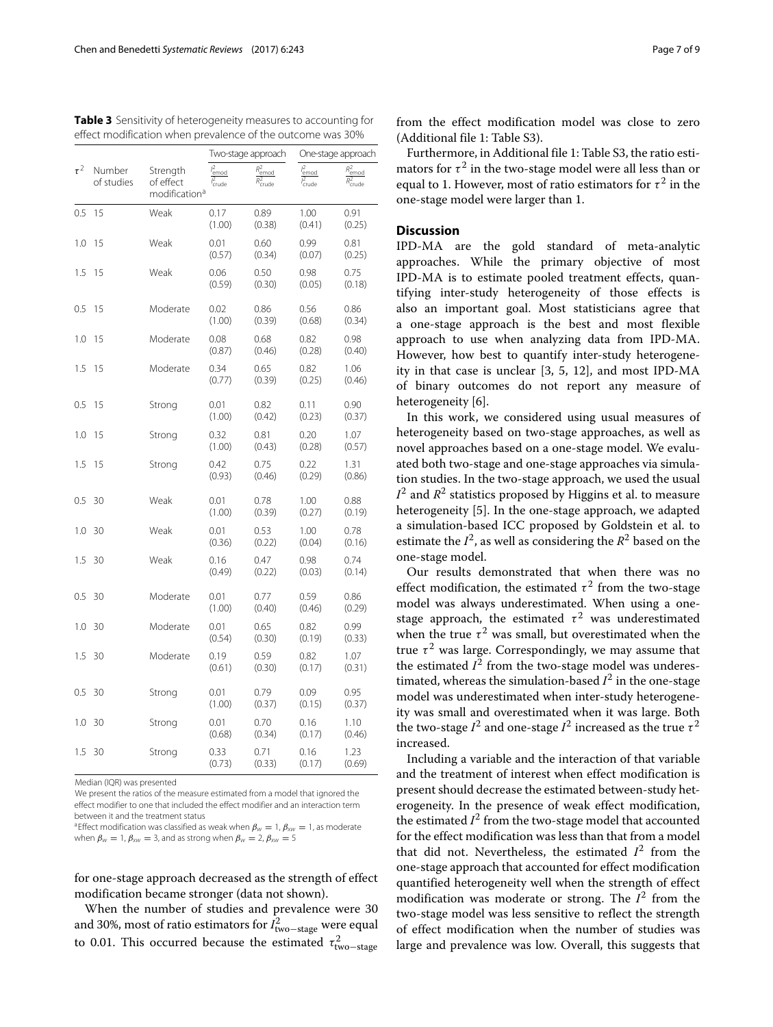|          |                      |                                                    | Two-stage approach                   |                                                 | One-stage approach                   |                                                              |
|----------|----------------------|----------------------------------------------------|--------------------------------------|-------------------------------------------------|--------------------------------------|--------------------------------------------------------------|
| $\tau^2$ | Number<br>of studies | Strength<br>of effect<br>modification <sup>a</sup> | $l_{\text{emod}}^2$<br>$l_{crude}^2$ | $R_{\text{emod}}^2$<br>$\overline{R}_{crude}^2$ | $l_{\text{emod}}^2$<br>$l_{crude}^2$ | $\bar{R}_{\text{emod}}^2$<br>$\overline{R}_{\text{crude}}^2$ |
| 0.5      | 15                   | Weak                                               | 0.17<br>(1.00)                       | 0.89<br>(0.38)                                  | 1.00<br>(0.41)                       | 0.91<br>(0.25)                                               |
| 1.0      | 15                   | Weak                                               | 0.01<br>(0.57)                       | 0.60<br>(0.34)                                  | 0.99<br>(0.07)                       | 0.81<br>(0.25)                                               |
| 1.5      | 15                   | Weak                                               | 0.06<br>(0.59)                       | 0.50<br>(0.30)                                  | 0.98<br>(0.05)                       | 0.75<br>(0.18)                                               |
| 0.5      | 15                   | Moderate                                           | 0.02<br>(1.00)                       | 0.86<br>(0.39)                                  | 0.56<br>(0.68)                       | 0.86<br>(0.34)                                               |
| 1.0      | 15                   | Moderate                                           | 0.08<br>(0.87)                       | 0.68<br>(0.46)                                  | 0.82<br>(0.28)                       | 0.98<br>(0.40)                                               |
| 1.5      | 15                   | Moderate                                           | 0.34<br>(0.77)                       | 0.65<br>(0.39)                                  | 0.82<br>(0.25)                       | 1.06<br>(0.46)                                               |
| 0.5      | 15                   | Strong                                             | 0.01<br>(1.00)                       | 0.82<br>(0.42)                                  | 0.11<br>(0.23)                       | 0.90<br>(0.37)                                               |
| 1.0      | 15                   | Strong                                             | 0.32<br>(1.00)                       | 0.81<br>(0.43)                                  | 0.20<br>(0.28)                       | 1.07<br>(0.57)                                               |
| 1.5      | 15                   | Strong                                             | 0.42<br>(0.93)                       | 0.75<br>(0.46)                                  | 0.22<br>(0.29)                       | 1.31<br>(0.86)                                               |
| 0.5      | 30                   | Weak                                               | 0.01<br>(1.00)                       | 0.78<br>(0.39)                                  | 1.00<br>(0.27)                       | 0.88<br>(0.19)                                               |
| 1.0      | 30                   | Weak                                               | 0.01<br>(0.36)                       | 0.53<br>(0.22)                                  | 1.00<br>(0.04)                       | 0.78<br>(0.16)                                               |
| 1.5      | 30                   | Weak                                               | 0.16<br>(0.49)                       | 0.47<br>(0.22)                                  | 0.98<br>(0.03)                       | 0.74<br>(0.14)                                               |
| 0.5      | 30                   | Moderate                                           | 0.01<br>(1.00)                       | 0.77<br>(0.40)                                  | 0.59<br>(0.46)                       | 0.86<br>(0.29)                                               |
| 1.0      | 30                   | Moderate                                           | 0.01<br>(0.54)                       | 0.65<br>(0.30)                                  | 0.82<br>(0.19)                       | 0.99<br>(0.33)                                               |
| 1.5      | 30                   | Moderate                                           | 0.19<br>(0.61)                       | 0.59<br>(0.30)                                  | 0.82<br>(0.17)                       | 1.07<br>(0.31)                                               |
| 0.5      | 30                   | Strong                                             | 0.01<br>(1.00)                       | 0.79<br>(0.37)                                  | 0.09<br>(0.15)                       | 0.95<br>(0.37)                                               |
| 1.0      | 30                   | Strong                                             | 0.01<br>(0.68)                       | 0.70<br>(0.34)                                  | 0.16<br>(0.17)                       | 1.10<br>(0.46)                                               |
| 1.5      | 30                   | Strong                                             | 0.33<br>(0.73)                       | 0.71<br>(0.33)                                  | 0.16<br>(0.17)                       | 1.23<br>(0.69)                                               |

<span id="page-6-0"></span>**Table 3** Sensitivity of heterogeneity measures to accounting for effect modification when prevalence of the outcome was 30%

Median (IQR) was presented

We present the ratios of the measure estimated from a model that ignored the effect modifier to one that included the effect modifier and an interaction term between it and the treatment status

<sup>a</sup>Effect modification was classified as weak when  $\beta_w = 1$ ,  $\beta_{xw} = 1$ , as moderate when  $\beta_w = 1$ ,  $\beta_{xw} = 3$ , and as strong when  $\beta_w = 2$ ,  $\beta_{xw} = 5$ 

for one-stage approach decreased as the strength of effect modification became stronger (data not shown).

When the number of studies and prevalence were 30 and 30%, most of ratio estimators for  $I_{\text{two-stage}}^2$  were equal to 0.01. This occurred because the estimated  $\tau_{\text{two-stage}}^2$ 

from the effect modification model was close to zero (Additional file [1:](#page-7-0) Table S3).

Furthermore, in Additional file [1:](#page-7-0) Table S3, the ratio estimators for  $\tau^2$  in the two-stage model were all less than or equal to 1. However, most of ratio estimators for  $\tau^2$  in the one-stage model were larger than 1.

# **Discussion**

IPD-MA are the gold standard of meta-analytic approaches. While the primary objective of most IPD-MA is to estimate pooled treatment effects, quantifying inter-study heterogeneity of those effects is also an important goal. Most statisticians agree that a one-stage approach is the best and most flexible approach to use when analyzing data from IPD-MA. However, how best to quantify inter-study heterogeneity in that case is unclear [\[3,](#page-8-2) [5,](#page-8-4) [12\]](#page-8-10), and most IPD-MA of binary outcomes do not report any measure of heterogeneity [\[6\]](#page-8-5).

In this work, we considered using usual measures of heterogeneity based on two-stage approaches, as well as novel approaches based on a one-stage model. We evaluated both two-stage and one-stage approaches via simulation studies. In the two-stage approach, we used the usual  $I^2$  and  $R^2$  statistics proposed by Higgins et al. to measure heterogeneity [\[5\]](#page-8-4). In the one-stage approach, we adapted a simulation-based ICC proposed by Goldstein et al. to estimate the  $I^2$ , as well as considering the  $R^2$  based on the one-stage model.

Our results demonstrated that when there was no effect modification, the estimated  $\tau^2$  from the two-stage model was always underestimated. When using a onestage approach, the estimated  $\tau^2$  was underestimated when the true  $\tau^2$  was small, but overestimated when the true  $\tau^2$  was large. Correspondingly, we may assume that the estimated  $I^2$  from the two-stage model was underestimated, whereas the simulation-based  $I^2$  in the one-stage model was underestimated when inter-study heterogeneity was small and overestimated when it was large. Both the two-stage  $I^2$  and one-stage  $I^2$  increased as the true  $\tau^2$ increased.

Including a variable and the interaction of that variable and the treatment of interest when effect modification is present should decrease the estimated between-study heterogeneity. In the presence of weak effect modification, the estimated  $I^2$  from the two-stage model that accounted for the effect modification was less than that from a model that did not. Nevertheless, the estimated  $I<sup>2</sup>$  from the one-stage approach that accounted for effect modification quantified heterogeneity well when the strength of effect modification was moderate or strong. The *I*<sup>2</sup> from the two-stage model was less sensitive to reflect the strength of effect modification when the number of studies was large and prevalence was low. Overall, this suggests that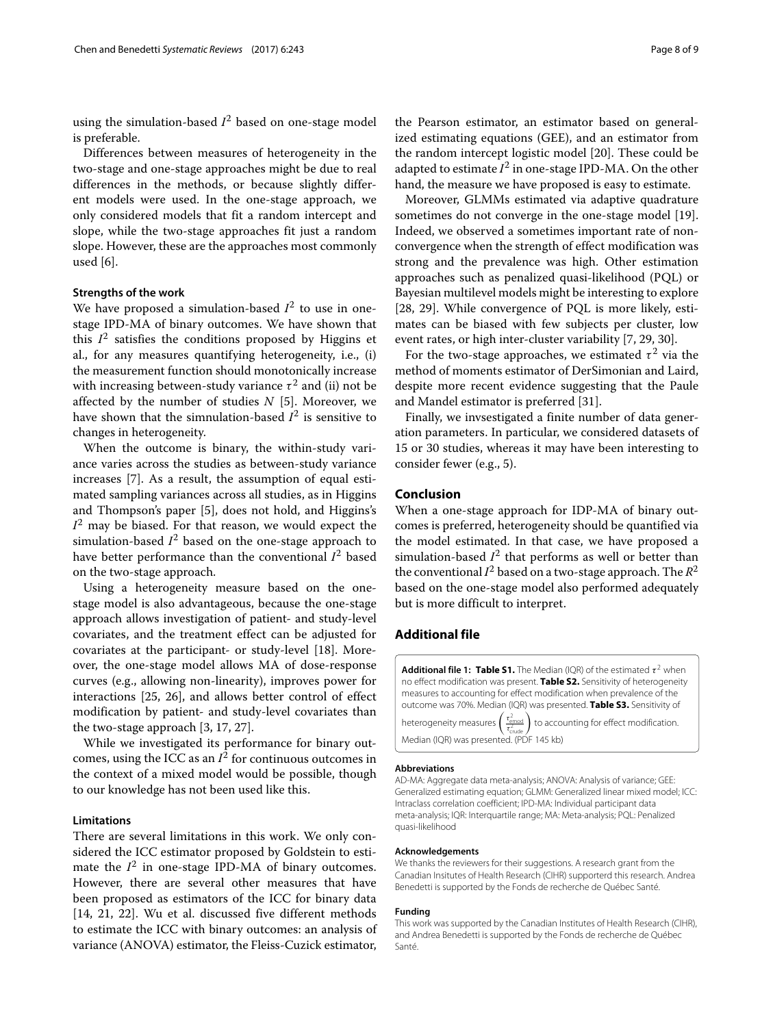using the simulation-based  $I^2$  based on one-stage model is preferable.

Differences between measures of heterogeneity in the two-stage and one-stage approaches might be due to real differences in the methods, or because slightly different models were used. In the one-stage approach, we only considered models that fit a random intercept and slope, while the two-stage approaches fit just a random slope. However, these are the approaches most commonly used [\[6\]](#page-8-5).

#### **Strengths of the work**

We have proposed a simulation-based  $I^2$  to use in onestage IPD-MA of binary outcomes. We have shown that this  $I<sup>2</sup>$  satisfies the conditions proposed by Higgins et al., for any measures quantifying heterogeneity, i.e., (i) the measurement function should monotonically increase with increasing between-study variance  $\tau^2$  and (ii) not be affected by the number of studies *N* [\[5\]](#page-8-4). Moreover, we have shown that the simnulation-based  $I^2$  is sensitive to changes in heterogeneity.

When the outcome is binary, the within-study variance varies across the studies as between-study variance increases [\[7\]](#page-8-6). As a result, the assumption of equal estimated sampling variances across all studies, as in Higgins and Thompson's paper [\[5\]](#page-8-4), does not hold, and Higgins's  $I^2$  may be biased. For that reason, we would expect the simulation-based  $I^2$  based on the one-stage approach to have better performance than the conventional  $I^2$  based on the two-stage approach.

Using a heterogeneity measure based on the onestage model is also advantageous, because the one-stage approach allows investigation of patient- and study-level covariates, and the treatment effect can be adjusted for covariates at the participant- or study-level [\[18\]](#page-8-16). Moreover, the one-stage model allows MA of dose-response curves (e.g., allowing non-linearity), improves power for interactions [\[25,](#page-8-23) [26\]](#page-8-24), and allows better control of effect modification by patient- and study-level covariates than the two-stage approach [\[3,](#page-8-2) [17,](#page-8-15) [27\]](#page-8-25).

While we investigated its performance for binary outcomes, using the ICC as an  $I^2$  for continuous outcomes in the context of a mixed model would be possible, though to our knowledge has not been used like this.

#### **Limitations**

There are several limitations in this work. We only considered the ICC estimator proposed by Goldstein to estimate the  $I^2$  in one-stage IPD-MA of binary outcomes. However, there are several other measures that have been proposed as estimators of the ICC for binary data [\[14,](#page-8-13) [21,](#page-8-19) [22\]](#page-8-20). Wu et al. discussed five different methods to estimate the ICC with binary outcomes: an analysis of variance (ANOVA) estimator, the Fleiss-Cuzick estimator,

the Pearson estimator, an estimator based on generalized estimating equations (GEE), and an estimator from the random intercept logistic model [\[20\]](#page-8-18). These could be adapted to estimate  $I^2$  in one-stage IPD-MA. On the other hand, the measure we have proposed is easy to estimate.

Moreover, GLMMs estimated via adaptive quadrature sometimes do not converge in the one-stage model [\[19\]](#page-8-17). Indeed, we observed a sometimes important rate of nonconvergence when the strength of effect modification was strong and the prevalence was high. Other estimation approaches such as penalized quasi-likelihood (PQL) or Bayesian multilevel models might be interesting to explore [\[28,](#page-8-26) [29\]](#page-8-27). While convergence of PQL is more likely, estimates can be biased with few subjects per cluster, low event rates, or high inter-cluster variability [\[7,](#page-8-6) [29,](#page-8-27) [30\]](#page-8-28).

For the two-stage approaches, we estimated  $\tau^2$  via the method of moments estimator of DerSimonian and Laird, despite more recent evidence suggesting that the Paule and Mandel estimator is preferred [\[31\]](#page-8-29).

Finally, we invsestigated a finite number of data generation parameters. In particular, we considered datasets of 15 or 30 studies, whereas it may have been interesting to consider fewer (e.g., 5).

# **Conclusion**

When a one-stage approach for IDP-MA of binary outcomes is preferred, heterogeneity should be quantified via the model estimated. In that case, we have proposed a simulation-based  $I^2$  that performs as well or better than the conventional  $I^2$  based on a two-stage approach. The  $R^2$ based on the one-stage model also performed adequately but is more difficult to interpret.

# **Additional file**

<span id="page-7-0"></span>**[Additional file 1:](http://dx.doi.org/10.1186/s13643-017-0630-4) [Table S1.](http://dx.doi.org/10.1186/s13643-017-0630-4)** The Median (IQR) of the estimated  $\tau^2$  when no effect modification was present. **[Table S2.](http://dx.doi.org/10.1186/s13643-017-0630-4)** Sensitivity of heterogeneity measures to accounting for effect modification when prevalence of the outcome was 70%. Median (IQR) was presented. **[Table S3.](http://dx.doi.org/10.1186/s13643-017-0630-4)** Sensitivity of heterogeneity measures  $\left(\frac{\tau_{\text{emod}}^2}{\tau_{\text{crude}}^2}\right)$  $\frac{d}{dx}$ ) to accounting for effect modification. Median (IQR) was presented. (PDF 145 kb)

#### **Abbreviations**

AD-MA: Aggregate data meta-analysis; ANOVA: Analysis of variance; GEE: Generalized estimating equation; GLMM: Generalized linear mixed model; ICC: Intraclass correlation coefficient; IPD-MA: Individual participant data meta-analysis; IQR: Interquartile range; MA: Meta-analysis; PQL: Penalized quasi-likelihood

#### **Acknowledgements**

We thanks the reviewers for their suggestions. A research grant from the Canadian Insitutes of Health Research (CIHR) supporterd this research. Andrea Benedetti is supported by the Fonds de recherche de Québec Santé.

#### **Funding**

This work was supported by the Canadian Institutes of Health Research (CIHR), and Andrea Benedetti is supported by the Fonds de recherche de Québec Santé.